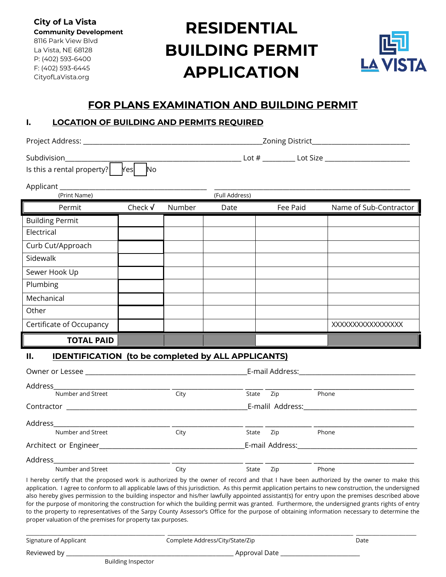**City of La Vista Community Development** 8116 Park View Blvd La Vista, NE 68128 P: (402) 593-6400 F: (402) 593-6445 CityofLaVista.org

# **RESIDENTIAL BUILDING PERMIT APPLICATION**



# **FOR PLANS EXAMINATION AND BUILDING PERMIT**

#### **I. LOCATION OF BUILDING AND PERMITS REQUIRED**

|                                                                                                                                                                                                                                | Zoning District___________________________ |        |                |                 |                                                                                  |
|--------------------------------------------------------------------------------------------------------------------------------------------------------------------------------------------------------------------------------|--------------------------------------------|--------|----------------|-----------------|----------------------------------------------------------------------------------|
| Subdivision<br>Is this a rental property?                                                                                                                                                                                      | Yes<br>No                                  |        |                |                 | __________________________ Lot # ____________ Lot Size _________________________ |
| Applicant _______________<br>(Print Name)                                                                                                                                                                                      |                                            |        | (Full Address) |                 |                                                                                  |
| Permit                                                                                                                                                                                                                         | Check √                                    | Number | Date           | Fee Paid        | Name of Sub-Contractor                                                           |
| <b>Building Permit</b>                                                                                                                                                                                                         |                                            |        |                |                 |                                                                                  |
| Electrical                                                                                                                                                                                                                     |                                            |        |                |                 |                                                                                  |
| Curb Cut/Approach                                                                                                                                                                                                              |                                            |        |                |                 |                                                                                  |
| Sidewalk                                                                                                                                                                                                                       |                                            |        |                |                 |                                                                                  |
| Sewer Hook Up                                                                                                                                                                                                                  |                                            |        |                |                 |                                                                                  |
| Plumbing                                                                                                                                                                                                                       |                                            |        |                |                 |                                                                                  |
| Mechanical                                                                                                                                                                                                                     |                                            |        |                |                 |                                                                                  |
| Other                                                                                                                                                                                                                          |                                            |        |                |                 |                                                                                  |
| Certificate of Occupancy                                                                                                                                                                                                       |                                            |        |                |                 | XXXXXXXXXXXXXXXX                                                                 |
| <b>TOTAL PAID</b>                                                                                                                                                                                                              |                                            |        |                |                 |                                                                                  |
| <b>IDENTIFICATION (to be completed by ALL APPLICANTS)</b><br>II.                                                                                                                                                               |                                            |        |                |                 |                                                                                  |
| Owner or Lessee and the contract of the contract of the contract of the contract of the contract of the contract of the contract of the contract of the contract of the contract of the contract of the contract of the contra |                                            |        |                | E-mail Address: |                                                                                  |

| Address                                                                                                                            |      |              |                                                                                                                                                                                                                               |
|------------------------------------------------------------------------------------------------------------------------------------|------|--------------|-------------------------------------------------------------------------------------------------------------------------------------------------------------------------------------------------------------------------------|
| Number and Street                                                                                                                  | City | Zip<br>State | Phone                                                                                                                                                                                                                         |
| Contractor<br><u> 2000 - 2000 - 2000 - 2000 - 2000 - 2000 - 2000 - 2000 - 2000 - 2000 - 2000 - 2000 - 2000 - 2000 - 2000 - 200</u> |      |              | E-malil Address: E-malil Address:                                                                                                                                                                                             |
| Address                                                                                                                            |      |              |                                                                                                                                                                                                                               |
| Number and Street                                                                                                                  | City | State<br>Zip | Phone                                                                                                                                                                                                                         |
|                                                                                                                                    |      |              | E-mail Address: National Address: National Address: National Address: National Address: National Address of Address (National Address of Address of Address of Address of Address of Address of Address of Address of Address |
| Address                                                                                                                            |      |              |                                                                                                                                                                                                                               |
| Number and Street                                                                                                                  | City | State<br>Zip | Phone                                                                                                                                                                                                                         |

I hereby certify that the proposed work is authorized by the owner of record and that I have been authorized by the owner to make this application. I agree to conform to all applicable laws of this jurisdiction. As this permit application pertains to new construction, the undersigned also hereby gives permission to the building inspector and his/her lawfully appointed assistant(s) for entry upon the premises described above for the purpose of monitoring the construction for which the building permit was granted. Furthermore, the undersigned grants rights of entry to the property to representatives of the Sarpy County Assessor's Office for the purpose of obtaining information necessary to determine the proper valuation of the premises for property tax purposes.

\_\_\_\_\_\_\_\_\_\_\_\_\_\_\_\_\_\_\_\_\_\_\_\_\_\_\_\_\_\_\_\_\_\_\_\_\_\_\_\_\_\_\_\_\_\_\_\_\_\_\_\_\_ \_\_\_\_\_\_\_\_\_\_\_\_\_\_\_\_\_\_\_\_\_\_\_\_\_\_\_\_\_\_\_\_\_\_\_\_\_\_\_\_\_\_\_\_\_\_\_\_\_\_\_\_\_\_\_\_\_\_\_\_\_\_\_\_\_\_\_\_\_\_\_ \_\_\_\_\_\_\_\_\_\_\_\_\_\_\_\_\_\_\_\_\_\_\_ Signature of Applicant and Complete Address/City/State/Zip Date Reviewed by \_\_\_\_\_\_\_\_\_\_\_\_\_\_\_\_\_\_\_\_\_\_\_\_\_\_\_\_\_\_\_\_\_\_\_\_\_\_\_\_\_\_\_\_\_\_\_\_\_\_\_\_\_\_\_\_\_ Approval Date \_\_\_\_\_\_\_\_\_\_\_\_\_\_\_\_\_\_\_\_\_\_\_\_\_\_\_ Building Inspector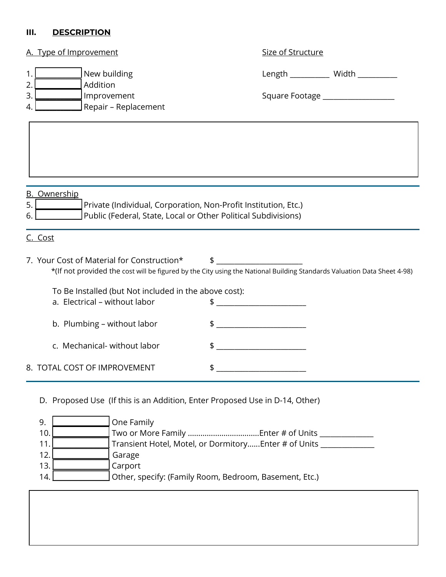### **III. DESCRIPTION**

| A. Type of Improvement                                                      | Size of Structure                                                                                                                                                                                                                                                                                                   |
|-----------------------------------------------------------------------------|---------------------------------------------------------------------------------------------------------------------------------------------------------------------------------------------------------------------------------------------------------------------------------------------------------------------|
| New building<br>1.                                                          | Length __________ Width ________                                                                                                                                                                                                                                                                                    |
| Addition<br>2<br>3.<br>Improvement                                          | Square Footage __________________                                                                                                                                                                                                                                                                                   |
| Repair - Replacement<br>4.                                                  |                                                                                                                                                                                                                                                                                                                     |
|                                                                             |                                                                                                                                                                                                                                                                                                                     |
| <b>B.</b> Ownership                                                         |                                                                                                                                                                                                                                                                                                                     |
| 5.<br>Private (Individual, Corporation, Non-Profit Institution, Etc.)       |                                                                                                                                                                                                                                                                                                                     |
| Public (Federal, State, Local or Other Political Subdivisions)<br>6.        |                                                                                                                                                                                                                                                                                                                     |
| C. Cost                                                                     |                                                                                                                                                                                                                                                                                                                     |
| 7. Your Cost of Material for Construction*                                  | \$                                                                                                                                                                                                                                                                                                                  |
|                                                                             | *(If not provided the cost will be figured by the City using the National Building Standards Valuation Data Sheet 4-98)                                                                                                                                                                                             |
| To Be Installed (but Not included in the above cost):                       |                                                                                                                                                                                                                                                                                                                     |
| a. Electrical - without labor                                               | $\frac{1}{2}$ $\frac{1}{2}$ $\frac{1}{2}$ $\frac{1}{2}$ $\frac{1}{2}$ $\frac{1}{2}$ $\frac{1}{2}$ $\frac{1}{2}$ $\frac{1}{2}$ $\frac{1}{2}$ $\frac{1}{2}$ $\frac{1}{2}$ $\frac{1}{2}$ $\frac{1}{2}$ $\frac{1}{2}$ $\frac{1}{2}$ $\frac{1}{2}$ $\frac{1}{2}$ $\frac{1}{2}$ $\frac{1}{2}$ $\frac{1}{2}$ $\frac{1}{2}$ |
| b. Plumbing - without labor                                                 |                                                                                                                                                                                                                                                                                                                     |
| c. Mechanical-without labor                                                 | \$                                                                                                                                                                                                                                                                                                                  |
|                                                                             | <u> 1989 - Johann John Hermann, martin f</u>                                                                                                                                                                                                                                                                        |
| 8. TOTAL COST OF IMPROVEMENT                                                | \$                                                                                                                                                                                                                                                                                                                  |
| D. Proposed Use (If this is an Addition, Enter Proposed Use in D-14, Other) |                                                                                                                                                                                                                                                                                                                     |
| 9.<br>One Family                                                            |                                                                                                                                                                                                                                                                                                                     |
| 10.<br>11                                                                   | Transient Hotel, Motel, or Dormitory Enter # of Units _                                                                                                                                                                                                                                                             |

12. **\_\_\_\_\_\_\_\_\_\_\_\_\_\_** Garage

13. **\_\_\_\_\_\_\_\_\_\_\_\_\_\_** Carport

14. **Quartes Concinent** Other, specify: (Family Room, Bedroom, Basement, Etc.)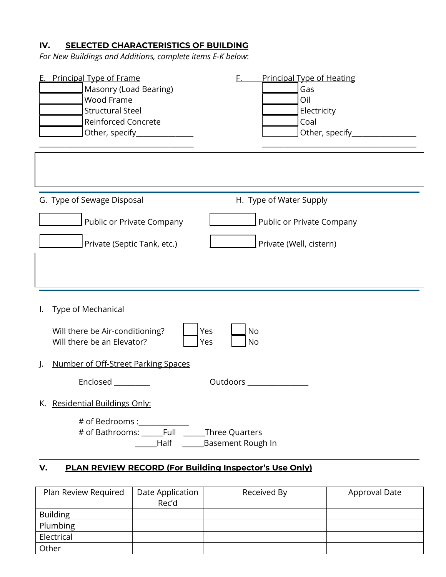# **IV. SELECTED CHARACTERISTICS OF BUILDING**

*For New Buildings and Additions, complete items E-K below*:

| <b>E.</b> Principal Type of Frame<br>Masonry (Load Bearing)<br>Wood Frame<br><b>Structural Steel</b><br><b>Reinforced Concrete</b><br>Other, specify________________ | F.<br><b>Principal Type of Heating</b><br>Gas<br>Oil<br>Electricity<br>Coal<br>Other, specify_ |  |  |  |
|----------------------------------------------------------------------------------------------------------------------------------------------------------------------|------------------------------------------------------------------------------------------------|--|--|--|
|                                                                                                                                                                      |                                                                                                |  |  |  |
| G. Type of Sewage Disposal                                                                                                                                           | H. Type of Water Supply                                                                        |  |  |  |
| Public or Private Company                                                                                                                                            | Public or Private Company                                                                      |  |  |  |
| Private (Septic Tank, etc.)                                                                                                                                          | Private (Well, cistern)                                                                        |  |  |  |
|                                                                                                                                                                      |                                                                                                |  |  |  |
| <b>Type of Mechanical</b>                                                                                                                                            |                                                                                                |  |  |  |
| Will there be Air-conditioning?<br>Yes<br><b>No</b><br>Will there be an Elevator?<br>Yes<br><b>No</b>                                                                |                                                                                                |  |  |  |
| Number of Off-Street Parking Spaces<br>$\cdot$                                                                                                                       |                                                                                                |  |  |  |
| Enclosed<br>Outdoors                                                                                                                                                 |                                                                                                |  |  |  |
| K. Residential Buildings Only:                                                                                                                                       |                                                                                                |  |  |  |
| # of Bedrooms :____________<br># of Bathrooms: ______Full ______Three Quarters<br>______Half ________Basement Rough In                                               |                                                                                                |  |  |  |
| PLAN REVIEW RECORD (For Building Inspector's Use Only)<br>V.                                                                                                         |                                                                                                |  |  |  |

| Plan Review Required | Date Application | Received By | Approval Date |
|----------------------|------------------|-------------|---------------|
|                      | Rec'd            |             |               |
| <b>Building</b>      |                  |             |               |
| Plumbing             |                  |             |               |
| Electrical           |                  |             |               |
| Other                |                  |             |               |